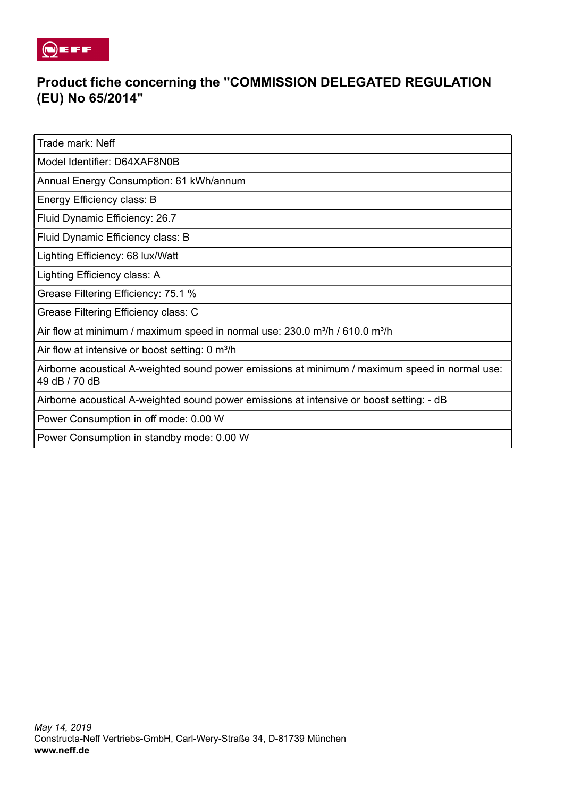

## **Product fiche concerning the "COMMISSION DELEGATED REGULATION (EU) No 65/2014"**

Trade mark: Neff

Model Identifier: D64XAF8N0B

Annual Energy Consumption: 61 kWh/annum

Energy Efficiency class: B

Fluid Dynamic Efficiency: 26.7

Fluid Dynamic Efficiency class: B

Lighting Efficiency: 68 lux/Watt

Lighting Efficiency class: A

Grease Filtering Efficiency: 75.1 %

Grease Filtering Efficiency class: C

Air flow at minimum / maximum speed in normal use:  $230.0$  m $\frac{3}{h}$  / 610.0 m $\frac{3}{h}$ 

Air flow at intensive or boost setting: 0 m<sup>3</sup>/h

Airborne acoustical A-weighted sound power emissions at minimum / maximum speed in normal use: 49 dB / 70 dB

Airborne acoustical A-weighted sound power emissions at intensive or boost setting: - dB

Power Consumption in off mode: 0.00 W

Power Consumption in standby mode: 0.00 W